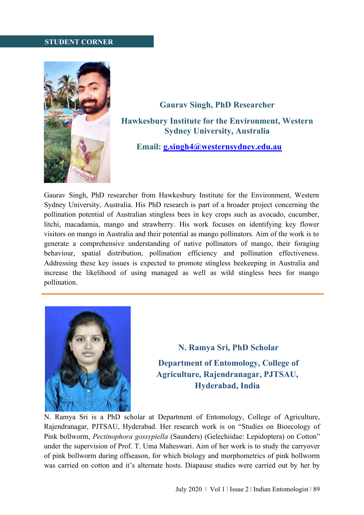## **STUDENT CORNER**



## **Gaurav Singh, PhD Researcher Hawkesbury Institute for the Environment, Western Sydney University, Australia**

## **Email: [g.singh4@westernsydney.edu.au](mailto:g.singh4@westernsydney.edu.au)**

Gaurav Singh, PhD researcher from Hawkesbury Institute for the Environment, Western Sydney University, Australia. His PhD research is part of a broader project concerning the pollination potential of Australian stingless bees in key crops such as avocado, cucumber, litchi, macadamia, mango and strawberry. His work focuses on identifying key flower visitors on mango in Australia and their potential as mango pollinators. Aim of the work is to generate a comprehensive understanding of native pollinators of mango, their foraging behaviour, spatial distribution, pollination efficiency and pollination effectiveness. Addressing these key issues is expected to promote stingless beekeeping in Australia and increase the likelihood of using managed as well as wild stingless bees for mango pollination.



**N. Ramya Sri, PhD Scholar Department of Entomology, College of Agriculture, Rajendranagar, PJTSAU, Hyderabad, India**

N. Ramya Sri is a PhD scholar at Department of Entomology, College of Agriculture, Rajendranagar, PJTSAU, Hyderabad. Her research work is on "Studies on Bioecology of Pink bollworm, *Pectinophora gossypiella* (Saunders) (Gelechiidae: Lepidoptera) on Cotton" under the supervision of Prof. T. Uma Maheswari. Aim of her work is to study the carryover of pink bollworm during offseason, for which biology and morphometrics of pink bollworm was carried on cotton and it's alternate hosts. Diapause studies were carried out by her by